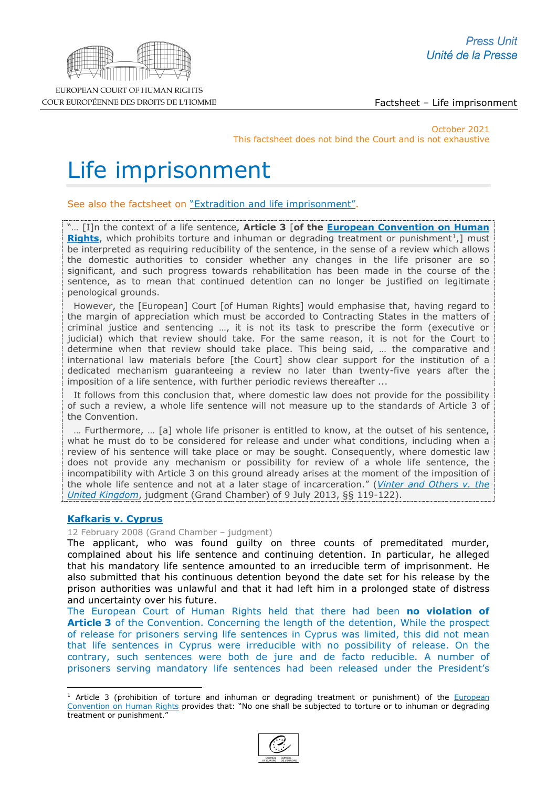

EUROPEAN COURT OF HUMAN RIGHTS COUR EUROPÉENNE DES DROITS DE L'HOMME

Factsheet – Life imprisonment

October 2021 This factsheet does not bind the Court and is not exhaustive

# Life imprisonment

See also the factsheet on ["Extradition and life imprisonment".](http://www.echr.coe.int/Documents/FS_Extradition_life_sentence_ENG.pdf)

"… [I]n the context of a life sentence, **Article 3** [**of the [European Convention on Human](http://www.echr.coe.int/Documents/Convention_ENG.pdf)  [Rights](http://www.echr.coe.int/Documents/Convention_ENG.pdf)**, which prohibits torture and inhuman or degrading treatment or punishment<sup>1</sup>, must be interpreted as requiring reducibility of the sentence, in the sense of a review which allows the domestic authorities to consider whether any changes in the life prisoner are so significant, and such progress towards rehabilitation has been made in the course of the sentence, as to mean that continued detention can no longer be justified on legitimate penological grounds.

 However, the [European] Court [of Human Rights] would emphasise that, having regard to the margin of appreciation which must be accorded to Contracting States in the matters of criminal justice and sentencing …, it is not its task to prescribe the form (executive or judicial) which that review should take. For the same reason, it is not for the Court to determine when that review should take place. This being said, … the comparative and international law materials before [the Court] show clear support for the institution of a dedicated mechanism guaranteeing a review no later than twenty-five years after the imposition of a life sentence, with further periodic reviews thereafter ...

 It follows from this conclusion that, where domestic law does not provide for the possibility of such a review, a whole life sentence will not measure up to the standards of Article 3 of the Convention.

 … Furthermore, … [a] whole life prisoner is entitled to know, at the outset of his sentence, what he must do to be considered for release and under what conditions, including when a review of his sentence will take place or may be sought. Consequently, where domestic law does not provide any mechanism or possibility for review of a whole life sentence, the incompatibility with Article 3 on this ground already arises at the moment of the imposition of the whole life sentence and not at a later stage of incarceration." (*[Vinter and Others v. the](http://hudoc.echr.coe.int/eng?i=001-122664)  [United Kingdom](http://hudoc.echr.coe.int/eng?i=001-122664)*, judgment (Grand Chamber) of 9 July 2013, §§ 119-122).

## **[Kafkaris v. Cyprus](http://hudoc.echr.coe.int/sites/eng-press/pages/search.aspx?i=003-2266462-2424484)**

12 February 2008 (Grand Chamber – judgment)

The applicant, who was found guilty on three counts of premeditated murder, complained about his life sentence and continuing detention. In particular, he alleged that his mandatory life sentence amounted to an irreducible term of imprisonment. He also submitted that his continuous detention beyond the date set for his release by the prison authorities was unlawful and that it had left him in a prolonged state of distress and uncertainty over his future.

The European Court of Human Rights held that there had been **no violation of Article 3** of the Convention. Concerning the length of the detention, While the prospect of release for prisoners serving life sentences in Cyprus was limited, this did not mean that life sentences in Cyprus were irreducible with no possibility of release. On the contrary, such sentences were both de jure and de facto reducible. A number of prisoners serving mandatory life sentences had been released under the President's

<span id="page-0-0"></span> $1$  Article 3 (prohibition of torture and inhuman or degrading treatment or punishment) of the **European** [Convention on Human Rights](http://www.echr.coe.int/Documents/Convention_ENG.pdf) provides that: "No one shall be subjected to torture or to inhuman or degrading treatment or punishment."

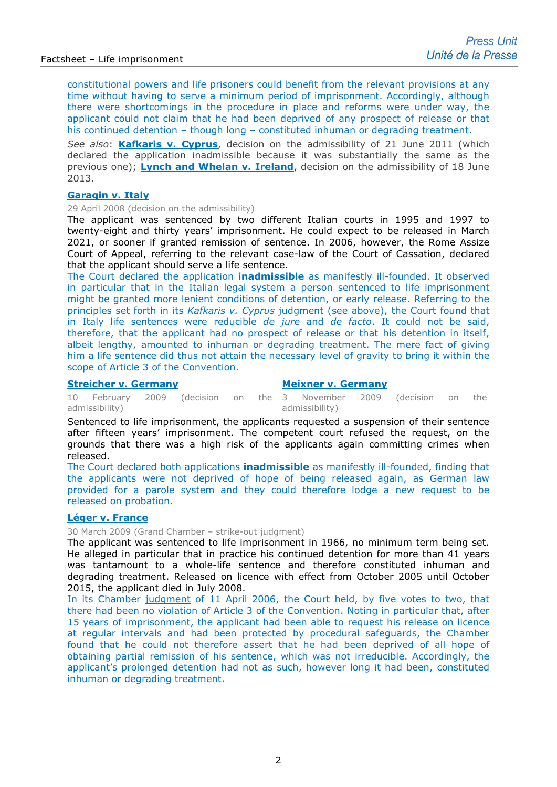constitutional powers and life prisoners could benefit from the relevant provisions at any time without having to serve a minimum period of imprisonment. Accordingly, although there were shortcomings in the procedure in place and reforms were under way, the applicant could not claim that he had been deprived of any prospect of release or that his continued detention – though long – constituted inhuman or degrading treatment.

*See also*: **[Kafkaris v. Cyprus](http://hudoc.echr.coe.int/sites/fra/pages/search.aspx?i=001-105438)**, decision on the admissibility of 21 June 2011 (which declared the application inadmissible because it was substantially the same as the previous one); **[Lynch and Whelan v. Ireland](http://hudoc.echr.coe.int/fre?i=001-122446)**, decision on the admissibility of 18 June 2013.

## **[Garagin v. Italy](http://hudoc.echr.coe.int/sites/fra/pages/search.aspx?i=002-2187)**

29 April 2008 (decision on the admissibility)

The applicant was sentenced by two different Italian courts in 1995 and 1997 to twenty-eight and thirty years' imprisonment. He could expect to be released in March 2021, or sooner if granted remission of sentence. In 2006, however, the Rome Assize Court of Appeal, referring to the relevant case-law of the Court of Cassation, declared that the applicant should serve a life sentence.

The Court declared the application **inadmissible** as manifestly ill-founded. It observed in particular that in the Italian legal system a person sentenced to life imprisonment might be granted more lenient conditions of detention, or early release. Referring to the principles set forth in its *Kafkaris v. Cyprus* judgment (see above), the Court found that in Italy life sentences were reducible *de jure* and *de facto*. It could not be said, therefore, that the applicant had no prospect of release or that his detention in itself, albeit lengthy, amounted to inhuman or degrading treatment. The mere fact of giving him a life sentence did thus not attain the necessary level of gravity to bring it within the scope of Article 3 of the Convention.

#### **[Streicher v. Germany](http://hudoc.echr.coe.int/sites/fra/pages/search.aspx?i=001-91620)**

#### **[Meixner v. Germany](http://hudoc.echr.coe.int/sites/fra/pages/search.aspx?i=003-2938799-3232312)**

10 February 2009 (decision on the admissibility) November 2009 (decision on the admissibility)

Sentenced to life imprisonment, the applicants requested a suspension of their sentence after fifteen years' imprisonment. The competent court refused the request, on the grounds that there was a high risk of the applicants again committing crimes when released.

The Court declared both applications **inadmissible** as manifestly ill-founded, finding that the applicants were not deprived of hope of being released again, as German law provided for a parole system and they could therefore lodge a new request to be released on probation.

## **[Léger v. France](http://hudoc.echr.coe.int/sites/fra/pages/search.aspx?i=003-1636723-1714833)**

30 March 2009 (Grand Chamber – strike-out judgment)

The applicant was sentenced to life imprisonment in 1966, no minimum term being set. He alleged in particular that in practice his continued detention for more than 41 years was tantamount to a whole-life sentence and therefore constituted inhuman and degrading treatment. Released on licence with effect from October 2005 until October 2015, the applicant died in July 2008.

In its Chamber [judgment](http://hudoc.echr.coe.int/fre?i=003-1636723-1714833) of 11 April 2006, the Court held, by five votes to two, that there had been no violation of Article 3 of the Convention. Noting in particular that, after 15 years of imprisonment, the applicant had been able to request his release on licence at regular intervals and had been protected by procedural safeguards, the Chamber found that he could not therefore assert that he had been deprived of all hope of obtaining partial remission of his sentence, which was not irreducible. Accordingly, the applicant's prolonged detention had not as such, however long it had been, constituted inhuman or degrading treatment.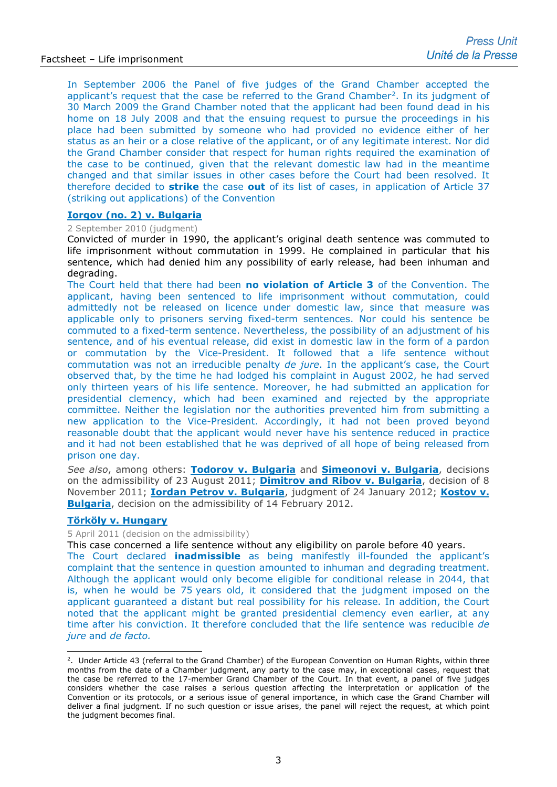In September 2006 the Panel of five judges of the Grand Chamber accepted the applicant's request that the case be referred to the Grand Chamber<sup>[2](#page-2-0)</sup>. In its judgment of 30 March 2009 the Grand Chamber noted that the applicant had been found dead in his home on 18 July 2008 and that the ensuing request to pursue the proceedings in his place had been submitted by someone who had provided no evidence either of her status as an heir or a close relative of the applicant, or of any legitimate interest. Nor did the Grand Chamber consider that respect for human rights required the examination of the case to be continued, given that the relevant domestic law had in the meantime changed and that similar issues in other cases before the Court had been resolved. It therefore decided to **strike** the case **out** of its list of cases, in application of Article 37 (striking out applications) of the Convention

#### **[Iorgov \(no. 2\) v. Bulgaria](http://hudoc.echr.coe.int/sites/fra/pages/search.aspx?i=002-810)**

#### 2 September 2010 (judgment)

Convicted of murder in 1990, the applicant's original death sentence was commuted to life imprisonment without commutation in 1999. He complained in particular that his sentence, which had denied him any possibility of early release, had been inhuman and degrading.

The Court held that there had been **no violation of Article 3** of the Convention. The applicant, having been sentenced to life imprisonment without commutation, could admittedly not be released on licence under domestic law, since that measure was applicable only to prisoners serving fixed-term sentences. Nor could his sentence be commuted to a fixed-term sentence. Nevertheless, the possibility of an adjustment of his sentence, and of his eventual release, did exist in domestic law in the form of a pardon or commutation by the Vice-President. It followed that a life sentence without commutation was not an irreducible penalty *de jure*. In the applicant's case, the Court observed that, by the time he had lodged his complaint in August 2002, he had served only thirteen years of his life sentence. Moreover, he had submitted an application for presidential clemency, which had been examined and rejected by the appropriate committee. Neither the legislation nor the authorities prevented him from submitting a new application to the Vice-President. Accordingly, it had not been proved beyond reasonable doubt that the applicant would never have his sentence reduced in practice and it had not been established that he was deprived of all hope of being released from prison one day.

*See also*, among others: **[Todorov v. Bulgaria](http://hudoc.echr.coe.int/fre?i=001-106160)** and **[Simeonovi v. Bulgaria](http://hudoc.echr.coe.int/fre?i=001-106162)**, decisions on the admissibility of 23 August 2011; **[Dimitrov and Ribov v. Bulgaria](http://hudoc.echr.coe.int/eng?i=001-107571)**, decision of 8 November 2011; **[Iordan Petrov v. Bulgaria](http://hudoc.echr.coe.int/eng?i=001-108783)**, judgment of 24 January 2012; **[Kostov v.](http://hudoc.echr.coe.int/eng?i=001-109281)  [Bulgaria](http://hudoc.echr.coe.int/eng?i=001-109281)**, decision on the admissibility of 14 February 2012.

#### **[Törköly v. Hungary](http://hudoc.echr.coe.int/eng?i=001-104602)**

### 5 April 2011 (decision on the admissibility)

This case concerned a life sentence without any eligibility on parole before 40 years.

The Court declared **inadmissible** as being manifestly ill-founded the applicant's complaint that the sentence in question amounted to inhuman and degrading treatment. Although the applicant would only become eligible for conditional release in 2044, that is, when he would be 75 years old, it considered that the judgment imposed on the applicant guaranteed a distant but real possibility for his release. In addition, the Court noted that the applicant might be granted presidential clemency even earlier, at any time after his conviction. It therefore concluded that the life sentence was reducible *de jure* and *de facto.*

<span id="page-2-0"></span><sup>&</sup>lt;sup>2</sup>. Under Article 43 (referral to the Grand Chamber) of the European Convention on Human Rights, within three months from the date of a Chamber judgment, any party to the case may, in exceptional cases, request that the case be referred to the 17-member Grand Chamber of the Court. In that event, a panel of five judges considers whether the case raises a serious question affecting the interpretation or application of the Convention or its protocols, or a serious issue of general importance, in which case the Grand Chamber will deliver a final judgment. If no such question or issue arises, the panel will reject the request, at which point the judgment becomes final.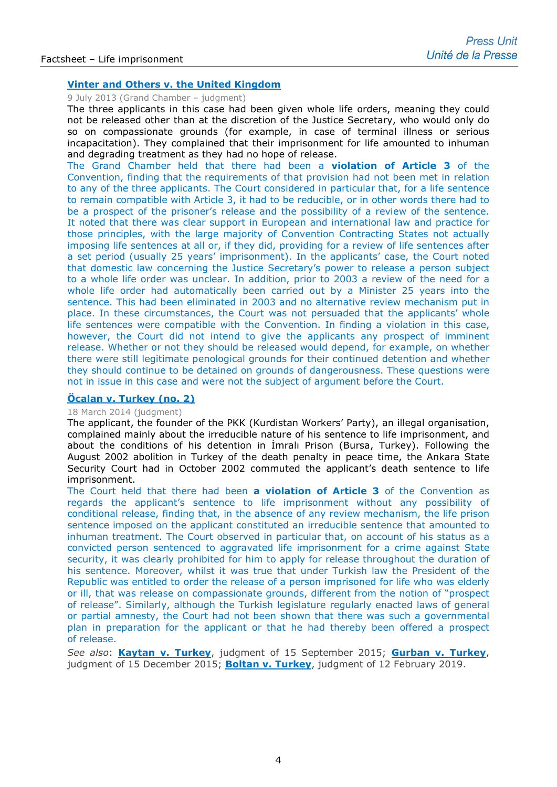## **[Vinter and Others v. the United Kingdom](http://hudoc.echr.coe.int/fre?i=003-4429521-5325447)**

#### 9 July 2013 (Grand Chamber – judgment)

The three applicants in this case had been given whole life orders, meaning they could not be released other than at the discretion of the Justice Secretary, who would only do so on compassionate grounds (for example, in case of terminal illness or serious incapacitation). They complained that their imprisonment for life amounted to inhuman and degrading treatment as they had no hope of release.

The Grand Chamber held that there had been a **violation of Article 3** of the Convention, finding that the requirements of that provision had not been met in relation to any of the three applicants. The Court considered in particular that, for a life sentence to remain compatible with Article 3, it had to be reducible, or in other words there had to be a prospect of the prisoner's release and the possibility of a review of the sentence. It noted that there was clear support in European and international law and practice for those principles, with the large majority of Convention Contracting States not actually imposing life sentences at all or, if they did, providing for a review of life sentences after a set period (usually 25 years' imprisonment). In the applicants' case, the Court noted that domestic law concerning the Justice Secretary's power to release a person subject to a whole life order was unclear. In addition, prior to 2003 a review of the need for a whole life order had automatically been carried out by a Minister 25 years into the sentence. This had been eliminated in 2003 and no alternative review mechanism put in place. In these circumstances, the Court was not persuaded that the applicants' whole life sentences were compatible with the Convention. In finding a violation in this case, however, the Court did not intend to give the applicants any prospect of imminent release. Whether or not they should be released would depend, for example, on whether there were still legitimate penological grounds for their continued detention and whether they should continue to be detained on grounds of dangerousness. These questions were not in issue in this case and were not the subject of argument before the Court.

## **[Öcalan v. Turkey \(no. 2\)](http://hudoc.echr.coe.int/eng-press?i=003-4703714-5709561)**

## 18 March 2014 (judgment)

The applicant, the founder of the PKK (Kurdistan Workers' Party), an illegal organisation, complained mainly about the irreducible nature of his sentence to life imprisonment, and about the conditions of his detention in İmralı Prison (Bursa, Turkey). Following the August 2002 abolition in Turkey of the death penalty in peace time, the Ankara State Security Court had in October 2002 commuted the applicant's death sentence to life imprisonment.

The Court held that there had been **a violation of Article 3** of the Convention as regards the applicant's sentence to life imprisonment without any possibility of conditional release, finding that, in the absence of any review mechanism, the life prison sentence imposed on the applicant constituted an irreducible sentence that amounted to inhuman treatment. The Court observed in particular that, on account of his status as a convicted person sentenced to aggravated life imprisonment for a crime against State security, it was clearly prohibited for him to apply for release throughout the duration of his sentence. Moreover, whilst it was true that under Turkish law the President of the Republic was entitled to order the release of a person imprisoned for life who was elderly or ill, that was release on compassionate grounds, different from the notion of "prospect of release". Similarly, although the Turkish legislature regularly enacted laws of general or partial amnesty, the Court had not been shown that there was such a governmental plan in preparation for the applicant or that he had thereby been offered a prospect of release.

*See also*: **[Kaytan v. Turkey](http://hudoc.echr.coe.int/fre?i=001-157339)**, judgment of 15 September 2015; **[Gurban v. Turkey](http://hudoc.echr.coe.int/fre?i=001-159194)**, judgment of 15 December 2015; **[Boltan v. Turkey](http://hudoc.echr.coe.int/fre?i=001-191123)**, judgment of 12 February 2019.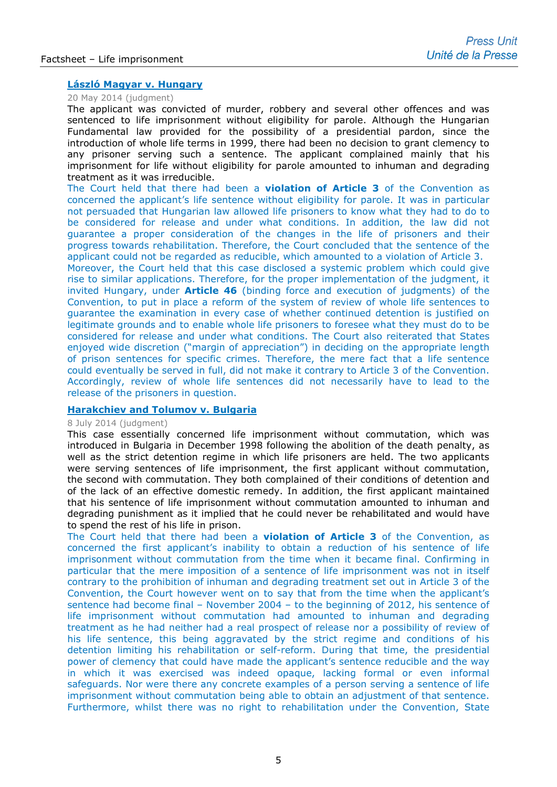## **[László Magyar v. Hungary](http://hudoc.echr.coe.int/eng-press?i=003-4764328-5797216)**

#### 20 May 2014 (judgment)

The applicant was convicted of murder, robbery and several other offences and was sentenced to life imprisonment without eligibility for parole. Although the Hungarian Fundamental law provided for the possibility of a presidential pardon, since the introduction of whole life terms in 1999, there had been no decision to grant clemency to any prisoner serving such a sentence. The applicant complained mainly that his imprisonment for life without eligibility for parole amounted to inhuman and degrading treatment as it was irreducible.

The Court held that there had been a **violation of Article 3** of the Convention as concerned the applicant's life sentence without eligibility for parole. It was in particular not persuaded that Hungarian law allowed life prisoners to know what they had to do to be considered for release and under what conditions. In addition, the law did not guarantee a proper consideration of the changes in the life of prisoners and their progress towards rehabilitation. Therefore, the Court concluded that the sentence of the applicant could not be regarded as reducible, which amounted to a violation of Article 3.

Moreover, the Court held that this case disclosed a systemic problem which could give rise to similar applications. Therefore, for the proper implementation of the judgment, it invited Hungary, under **Article 46** (binding force and execution of judgments) of the Convention, to put in place a reform of the system of review of whole life sentences to guarantee the examination in every case of whether continued detention is justified on legitimate grounds and to enable whole life prisoners to foresee what they must do to be considered for release and under what conditions. The Court also reiterated that States enjoyed wide discretion ("margin of appreciation") in deciding on the appropriate length of prison sentences for specific crimes. Therefore, the mere fact that a life sentence could eventually be served in full, did not make it contrary to Article 3 of the Convention. Accordingly, review of whole life sentences did not necessarily have to lead to the release of the prisoners in question.

## **[Harakchiev and Tolumov v. Bulgaria](http://hudoc.echr.coe.int/eng-press?i=003-4815714-5871896)**

## 8 July 2014 (judgment)

This case essentially concerned life imprisonment without commutation, which was introduced in Bulgaria in December 1998 following the abolition of the death penalty, as well as the strict detention regime in which life prisoners are held. The two applicants were serving sentences of life imprisonment, the first applicant without commutation, the second with commutation. They both complained of their conditions of detention and of the lack of an effective domestic remedy. In addition, the first applicant maintained that his sentence of life imprisonment without commutation amounted to inhuman and degrading punishment as it implied that he could never be rehabilitated and would have to spend the rest of his life in prison.

The Court held that there had been a **violation of Article 3** of the Convention, as concerned the first applicant's inability to obtain a reduction of his sentence of life imprisonment without commutation from the time when it became final. Confirming in particular that the mere imposition of a sentence of life imprisonment was not in itself contrary to the prohibition of inhuman and degrading treatment set out in Article 3 of the Convention, the Court however went on to say that from the time when the applicant's sentence had become final – November 2004 – to the beginning of 2012, his sentence of life imprisonment without commutation had amounted to inhuman and degrading treatment as he had neither had a real prospect of release nor a possibility of review of his life sentence, this being aggravated by the strict regime and conditions of his detention limiting his rehabilitation or self-reform. During that time, the presidential power of clemency that could have made the applicant's sentence reducible and the way in which it was exercised was indeed opaque, lacking formal or even informal safeguards. Nor were there any concrete examples of a person serving a sentence of life imprisonment without commutation being able to obtain an adjustment of that sentence. Furthermore, whilst there was no right to rehabilitation under the Convention, State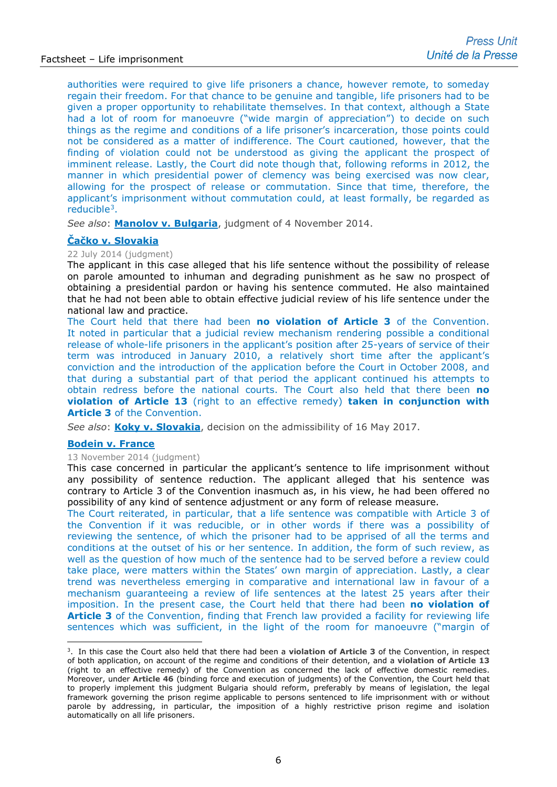authorities were required to give life prisoners a chance, however remote, to someday regain their freedom. For that chance to be genuine and tangible, life prisoners had to be given a proper opportunity to rehabilitate themselves. In that context, although a State had a lot of room for manoeuvre ("wide margin of appreciation") to decide on such things as the regime and conditions of a life prisoner's incarceration, those points could not be considered as a matter of indifference. The Court cautioned, however, that the finding of violation could not be understood as giving the applicant the prospect of imminent release. Lastly, the Court did note though that, following reforms in 2012, the manner in which presidential power of clemency was being exercised was now clear, allowing for the prospect of release or commutation. Since that time, therefore, the applicant's imprisonment without commutation could, at least formally, be regarded as reducible[3](#page-5-0).

*See also*: **[Manolov v. Bulgaria](http://hudoc.echr.coe.int/eng?i=001-147671)**, judgment of 4 November 2014.

## **Čač[ko v. Slovakia](http://hudoc.echr.coe.int/sites/eng/pages/search.aspx?i=001-145711)**

#### 22 July 2014 (judgment)

The applicant in this case alleged that his life sentence without the possibility of release on parole amounted to inhuman and degrading punishment as he saw no prospect of obtaining a presidential pardon or having his sentence commuted. He also maintained that he had not been able to obtain effective judicial review of his life sentence under the national law and practice.

The Court held that there had been **no violation of Article 3** of the Convention. It noted in particular that a judicial review mechanism rendering possible a conditional release of whole-life prisoners in the applicant's position after 25-years of service of their term was introduced in January 2010, a relatively short time after the applicant's conviction and the introduction of the application before the Court in October 2008, and that during a substantial part of that period the applicant continued his attempts to obtain redress before the national courts. The Court also held that there been **no violation of Article 13** (right to an effective remedy) **taken in conjunction with Article 3** of the Convention.

*See also*: **[Koky v. Slovakia](http://hudoc.echr.coe.int/eng?i=001-174468)**, decision on the admissibility of 16 May 2017.

## **[Bodein v. France](http://hudoc.echr.coe.int/eng-press?i=003-4930442-6035902)**

#### 13 November 2014 (judgment)

This case concerned in particular the applicant's sentence to life imprisonment without any possibility of sentence reduction. The applicant alleged that his sentence was contrary to Article 3 of the Convention inasmuch as, in his view, he had been offered no possibility of any kind of sentence adjustment or any form of release measure.

The Court reiterated, in particular, that a life sentence was compatible with Article 3 of the Convention if it was reducible, or in other words if there was a possibility of reviewing the sentence, of which the prisoner had to be apprised of all the terms and conditions at the outset of his or her sentence. In addition, the form of such review, as well as the question of how much of the sentence had to be served before a review could take place, were matters within the States' own margin of appreciation. Lastly, a clear trend was nevertheless emerging in comparative and international law in favour of a mechanism guaranteeing a review of life sentences at the latest 25 years after their imposition. In the present case, the Court held that there had been **no violation of Article 3** of the Convention, finding that French law provided a facility for reviewing life sentences which was sufficient, in the light of the room for manoeuvre ("margin of

<span id="page-5-0"></span><sup>3.</sup> In this case the Court also held that there had been a **violation of Article 3** of the Convention, in respect of both application, on account of the regime and conditions of their detention, and a **violation of Article 13** (right to an effective remedy) of the Convention as concerned the lack of effective domestic remedies. Moreover, under **Article 46** (binding force and execution of judgments) of the Convention, the Court held that to properly implement this judgment Bulgaria should reform, preferably by means of legislation, the legal framework governing the prison regime applicable to persons sentenced to life imprisonment with or without parole by addressing, in particular, the imposition of a highly restrictive prison regime and isolation automatically on all life prisoners.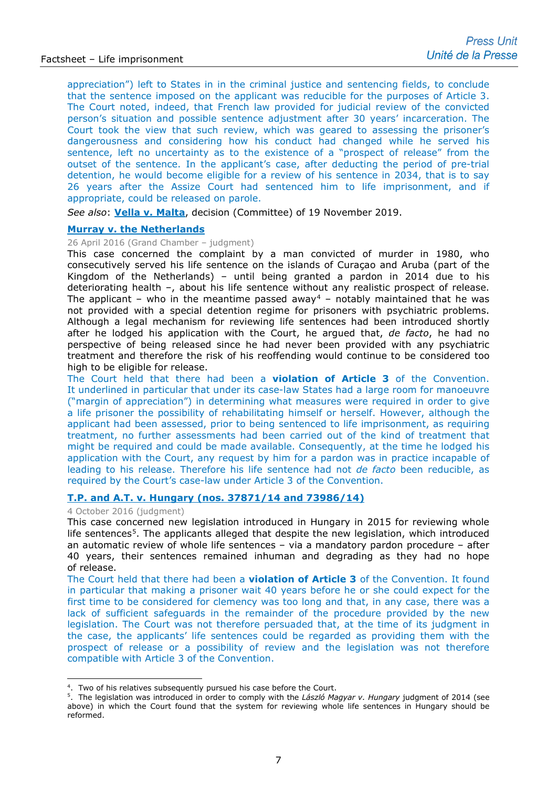appreciation") left to States in in the criminal justice and sentencing fields, to conclude that the sentence imposed on the applicant was reducible for the purposes of Article 3. The Court noted, indeed, that French law provided for judicial review of the convicted person's situation and possible sentence adjustment after 30 years' incarceration. The Court took the view that such review, which was geared to assessing the prisoner's dangerousness and considering how his conduct had changed while he served his sentence, left no uncertainty as to the existence of a "prospect of release" from the outset of the sentence. In the applicant's case, after deducting the period of pre-trial detention, he would become eligible for a review of his sentence in 2034, that is to say 26 years after the Assize Court had sentenced him to life imprisonment, and if appropriate, could be released on parole.

*See also*: **[Vella v. Malta](http://hudoc.echr.coe.int/fre?i=001-199492)**, decision (Committee) of 19 November 2019.

## **[Murray v. the Netherlands](http://hudoc.echr.coe.int/eng-press?i=003-5358647-6688636)**

26 April 2016 (Grand Chamber – judgment)

This case concerned the complaint by a man convicted of murder in 1980, who consecutively served his life sentence on the islands of Curaçao and Aruba (part of the Kingdom of the Netherlands) – until being granted a pardon in 2014 due to his deteriorating health –, about his life sentence without any realistic prospect of release. The applicant – who in the meantime passed away<sup>[4](#page-6-0)</sup> – notably maintained that he was not provided with a special detention regime for prisoners with psychiatric problems. Although a legal mechanism for reviewing life sentences had been introduced shortly after he lodged his application with the Court, he argued that, *de facto*, he had no perspective of being released since he had never been provided with any psychiatric treatment and therefore the risk of his reoffending would continue to be considered too high to be eligible for release.

The Court held that there had been a **violation of Article 3** of the Convention. It underlined in particular that under its case-law States had a large room for manoeuvre ("margin of appreciation") in determining what measures were required in order to give a life prisoner the possibility of rehabilitating himself or herself. However, although the applicant had been assessed, prior to being sentenced to life imprisonment, as requiring treatment, no further assessments had been carried out of the kind of treatment that might be required and could be made available. Consequently, at the time he lodged his application with the Court, any request by him for a pardon was in practice incapable of leading to his release. Therefore his life sentence had not *de facto* been reducible, as required by the Court's case-law under Article 3 of the Convention.

## **[T.P. and A.T. v. Hungary \(nos. 37871/14 and 73986/14\)](http://hudoc.echr.coe.int/eng-press?i=003-5506496-6921796)**

4 October 2016 (judgment)

This case concerned new legislation introduced in Hungary in 2015 for reviewing whole life sentences<sup>5</sup>. The applicants alleged that despite the new legislation, which introduced an automatic review of whole life sentences – via a mandatory pardon procedure – after 40 years, their sentences remained inhuman and degrading as they had no hope of release.

The Court held that there had been a **violation of Article 3** of the Convention. It found in particular that making a prisoner wait 40 years before he or she could expect for the first time to be considered for clemency was too long and that, in any case, there was a lack of sufficient safeguards in the remainder of the procedure provided by the new legislation. The Court was not therefore persuaded that, at the time of its judgment in the case, the applicants' life sentences could be regarded as providing them with the prospect of release or a possibility of review and the legislation was not therefore compatible with Article 3 of the Convention.

<sup>&</sup>lt;sup>4</sup>. Two of his relatives subsequently pursued his case before the Court.

<span id="page-6-1"></span><span id="page-6-0"></span><sup>5.</sup> The legislation was introduced in order to comply with the *László Magyar v. Hungary* judgment of 2014 (see above) in which the Court found that the system for reviewing whole life sentences in Hungary should be reformed.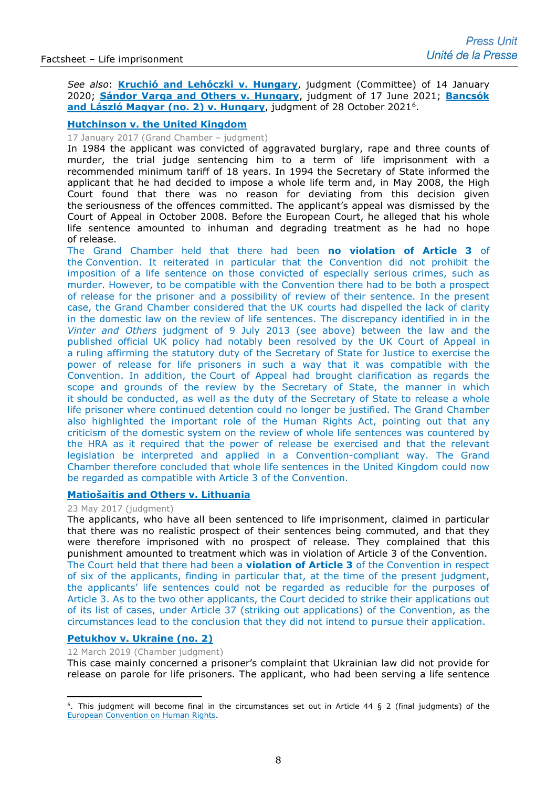*See also*: **[Kruchió and Lehóczki v. Hungary](http://hudoc.echr.coe.int/eng?i=001-200345)**, judgment (Committee) of 14 January 2020; **[Sándor Varga and Others v. Hungary](http://hudoc.echr.coe.int/eng?i=001-210407)**, judgment of 17 June 2021; **[Bancsók](http://hudoc.echr.coe.int/fre-press?i=003-7165483-9721954)**  [and László Magyar \(no. 2\) v. Hungary](http://hudoc.echr.coe.int/fre-press?i=003-7165483-9721954), judgment of 28 October 2021<sup>6</sup>.

## **[Hutchinson v. the United Kingdom](http://hudoc.echr.coe.int/eng-press?i=003-5600221-7075341)**

#### 17 January 2017 (Grand Chamber – judgment)

In 1984 the applicant was convicted of aggravated burglary, rape and three counts of murder, the trial judge sentencing him to a term of life imprisonment with a recommended minimum tariff of 18 years. In 1994 the Secretary of State informed the applicant that he had decided to impose a whole life term and, in May 2008, the High Court found that there was no reason for deviating from this decision given the seriousness of the offences committed. The applicant's appeal was dismissed by the Court of Appeal in October 2008. Before the European Court, he alleged that his whole life sentence amounted to inhuman and degrading treatment as he had no hope of release.

The Grand Chamber held that there had been **no violation of Article 3** of the Convention. It reiterated in particular that the Convention did not prohibit the imposition of a life sentence on those convicted of especially serious crimes, such as murder. However, to be compatible with the Convention there had to be both a prospect of release for the prisoner and a possibility of review of their sentence. In the present case, the Grand Chamber considered that the UK courts had dispelled the lack of clarity in the domestic law on the review of life sentences. The discrepancy identified in in the *Vinter and Others* judgment of 9 July 2013 (see above) between the law and the published official UK policy had notably been resolved by the UK Court of Appeal in a ruling affirming the statutory duty of the Secretary of State for Justice to exercise the power of release for life prisoners in such a way that it was compatible with the Convention. In addition, the Court of Appeal had brought clarification as regards the scope and grounds of the review by the Secretary of State, the manner in which it should be conducted, as well as the duty of the Secretary of State to release a whole life prisoner where continued detention could no longer be justified. The Grand Chamber also highlighted the important role of the Human Rights Act, pointing out that any criticism of the domestic system on the review of whole life sentences was countered by the HRA as it required that the power of release be exercised and that the relevant legislation be interpreted and applied in a Convention-compliant way. The Grand Chamber therefore concluded that whole life sentences in the United Kingdom could now be regarded as compatible with Article 3 of the Convention.

## **[Matiošaitis and Others v. Lithuania](http://hudoc.echr.coe.int/eng?i=002-11522)**

#### 23 May 2017 (judgment)

The applicants, who have all been sentenced to life imprisonment, claimed in particular that there was no realistic prospect of their sentences being commuted, and that they were therefore imprisoned with no prospect of release. They complained that this punishment amounted to treatment which was in violation of Article 3 of the Convention. The Court held that there had been a **violation of Article 3** of the Convention in respect of six of the applicants, finding in particular that, at the time of the present judgment, the applicants' life sentences could not be regarded as reducible for the purposes of Article 3. As to the two other applicants, the Court decided to strike their applications out of its list of cases, under Article 37 (striking out applications) of the Convention, as the circumstances lead to the conclusion that they did not intend to pursue their application.

## **[Petukhov v. Ukraine \(no. 2\)](http://hudoc.echr.coe.int/eng-press?i=003-6352367-8314795)**

12 March 2019 (Chamber judgment)

This case mainly concerned a prisoner's complaint that Ukrainian law did not provide for release on parole for life prisoners. The applicant, who had been serving a life sentence

<span id="page-7-0"></span> $6.$  This judgment will become final in the circumstances set out in Article 44 § 2 (final judgments) of the [European Convention on Human Rights.](http://www.echr.coe.int/Documents/Convention_ENG.pdf)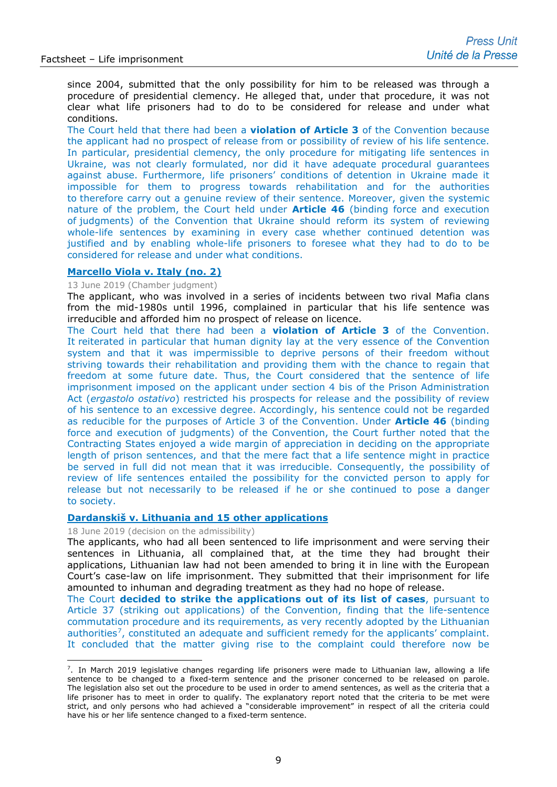since 2004, submitted that the only possibility for him to be released was through a procedure of presidential clemency. He alleged that, under that procedure, it was not clear what life prisoners had to do to be considered for release and under what conditions.

The Court held that there had been a **violation of Article 3** of the Convention because the applicant had no prospect of release from or possibility of review of his life sentence. In particular, presidential clemency, the only procedure for mitigating life sentences in Ukraine, was not clearly formulated, nor did it have adequate procedural guarantees against abuse. Furthermore, life prisoners' conditions of detention in Ukraine made it impossible for them to progress towards rehabilitation and for the authorities to therefore carry out a genuine review of their sentence. Moreover, given the systemic nature of the problem, the Court held under **Article 46** (binding force and execution of judgments) of the Convention that Ukraine should reform its system of reviewing whole-life sentences by examining in every case whether continued detention was justified and by enabling whole-life prisoners to foresee what they had to do to be considered for release and under what conditions.

## **[Marcello Viola v. Italy \(no. 2\)](http://hudoc.echr.coe.int/eng-press?i=003-6430185-8455363)**

#### 13 June 2019 (Chamber judgment)

The applicant, who was involved in a series of incidents between two rival Mafia clans from the mid-1980s until 1996, complained in particular that his life sentence was irreducible and afforded him no prospect of release on licence.

The Court held that there had been a **violation of Article 3** of the Convention. It reiterated in particular that human dignity lay at the very essence of the Convention system and that it was impermissible to deprive persons of their freedom without striving towards their rehabilitation and providing them with the chance to regain that freedom at some future date. Thus, the Court considered that the sentence of life imprisonment imposed on the applicant under section 4 bis of the Prison Administration Act (*ergastolo ostativo*) restricted his prospects for release and the possibility of review of his sentence to an excessive degree. Accordingly, his sentence could not be regarded as reducible for the purposes of Article 3 of the Convention. Under **Article 46** (binding force and execution of judgments) of the Convention, the Court further noted that the Contracting States enjoyed a wide margin of appreciation in deciding on the appropriate length of prison sentences, and that the mere fact that a life sentence might in practice be served in full did not mean that it was irreducible. Consequently, the possibility of review of life sentences entailed the possibility for the convicted person to apply for release but not necessarily to be released if he or she continued to pose a danger to society.

#### **[Dardanskiš v. Lithuania and 15 other applications](http://hudoc.echr.coe.int/eng-press?i=003-6457235-8502712)**

18 June 2019 (decision on the admissibility)

The applicants, who had all been sentenced to life imprisonment and were serving their sentences in Lithuania, all complained that, at the time they had brought their applications, Lithuanian law had not been amended to bring it in line with the European Court's case-law on life imprisonment. They submitted that their imprisonment for life amounted to inhuman and degrading treatment as they had no hope of release.

The Court **decided to strike the applications out of its list of cases**, pursuant to Article 37 (striking out applications) of the Convention, finding that the life-sentence commutation procedure and its requirements, as very recently adopted by the Lithuanian authorities<sup>[7](#page-8-0)</sup>, constituted an adequate and sufficient remedy for the applicants' complaint. It concluded that the matter giving rise to the complaint could therefore now be

<span id="page-8-0"></span> $7.$  In March 2019 legislative changes regarding life prisoners were made to Lithuanian law, allowing a life sentence to be changed to a fixed-term sentence and the prisoner concerned to be released on parole. The legislation also set out the procedure to be used in order to amend sentences, as well as the criteria that a life prisoner has to meet in order to qualify. The explanatory report noted that the criteria to be met were strict, and only persons who had achieved a "considerable improvement" in respect of all the criteria could have his or her life sentence changed to a fixed-term sentence.